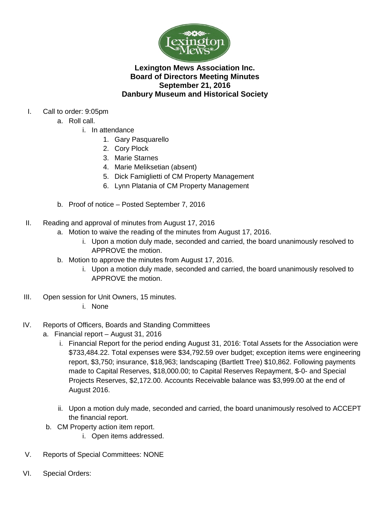

## **Lexington Mews Association Inc. Board of Directors Meeting Minutes September 21, 2016 Danbury Museum and Historical Society**

## I. Call to order: 9:05pm

- a. Roll call.
	- i. In attendance
		- 1. Gary Pasquarello
		- 2. Cory Plock
		- 3. Marie Starnes
		- 4. Marie Meliksetian (absent)
		- 5. Dick Famiglietti of CM Property Management
		- 6. Lynn Platania of CM Property Management
- b. Proof of notice Posted September 7, 2016
- II. Reading and approval of minutes from August 17, 2016
	- a. Motion to waive the reading of the minutes from August 17, 2016.
		- i. Upon a motion duly made, seconded and carried, the board unanimously resolved to APPROVE the motion.
	- b. Motion to approve the minutes from August 17, 2016.
		- i. Upon a motion duly made, seconded and carried, the board unanimously resolved to APPROVE the motion.
- III. Open session for Unit Owners, 15 minutes.
	- i. None
- IV. Reports of Officers, Boards and Standing Committees
	- a. Financial report August 31, 2016
		- i. Financial Report for the period ending August 31, 2016: Total Assets for the Association were \$733,484.22. Total expenses were \$34,792.59 over budget; exception items were engineering report, \$3,750; insurance, \$18,963; landscaping (Bartlett Tree) \$10,862. Following payments made to Capital Reserves, \$18,000.00; to Capital Reserves Repayment, \$-0- and Special Projects Reserves, \$2,172.00. Accounts Receivable balance was \$3,999.00 at the end of August 2016.
		- ii. Upon a motion duly made, seconded and carried, the board unanimously resolved to ACCEPT the financial report.
	- b. CM Property action item report.
		- i. Open items addressed.
- V. Reports of Special Committees: NONE
- VI. Special Orders: